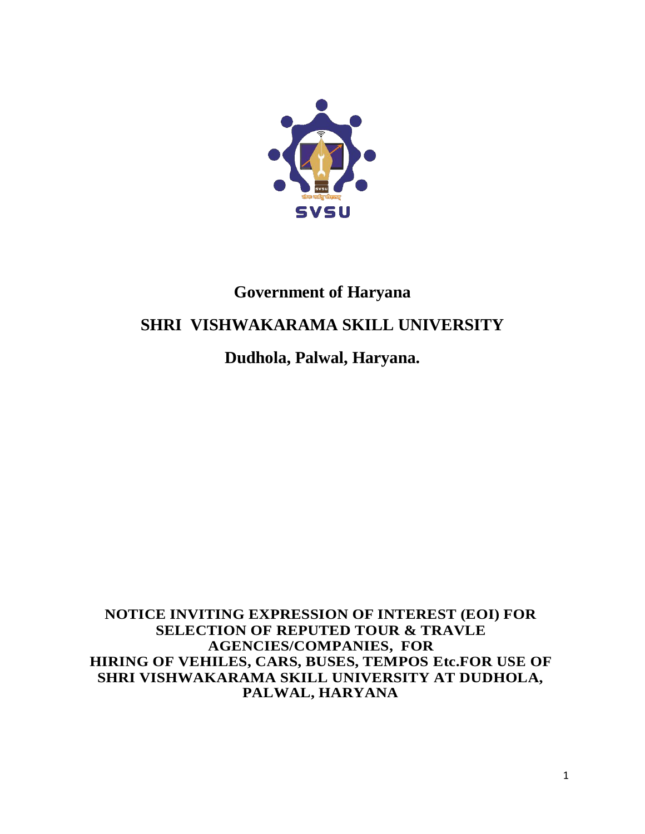

## **Government of Haryana**

## **SHRI VISHWAKARAMA SKILL UNIVERSITY**

**Dudhola, Palwal, Haryana.**

**NOTICE INVITING EXPRESSION OF INTEREST (EOI) FOR SELECTION OF REPUTED TOUR & TRAVLE AGENCIES/COMPANIES, FOR HIRING OF VEHILES, CARS, BUSES, TEMPOS Etc.FOR USE OF SHRI VISHWAKARAMA SKILL UNIVERSITY AT DUDHOLA, PALWAL, HARYANA**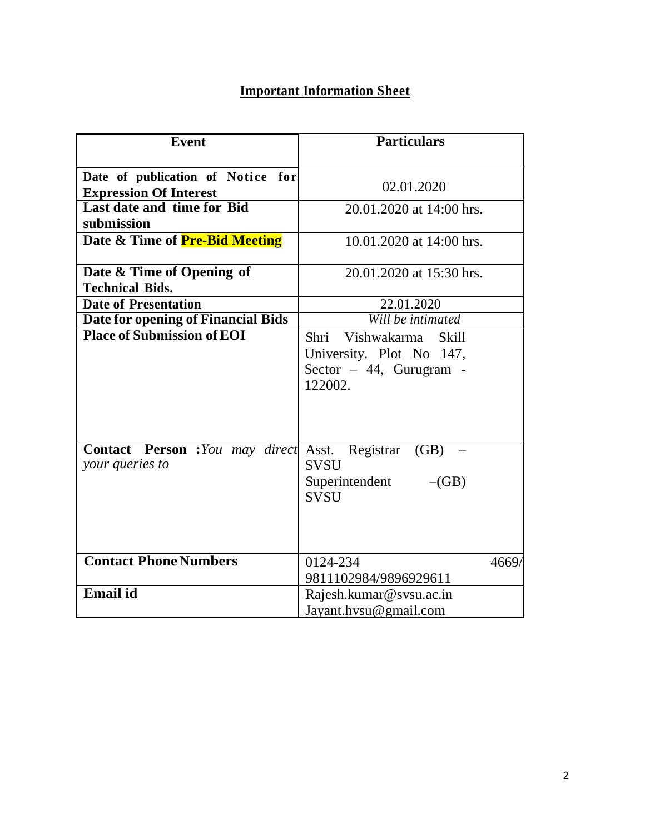## **Important Information Sheet**

| <b>Event</b>                                                       | <b>Particulars</b>                                                                         |  |  |  |  |  |  |
|--------------------------------------------------------------------|--------------------------------------------------------------------------------------------|--|--|--|--|--|--|
|                                                                    |                                                                                            |  |  |  |  |  |  |
| Date of publication of Notice for                                  |                                                                                            |  |  |  |  |  |  |
| <b>Expression Of Interest</b>                                      | 02.01.2020                                                                                 |  |  |  |  |  |  |
| Last date and time for Bid                                         | 20.01.2020 at 14:00 hrs.                                                                   |  |  |  |  |  |  |
| submission                                                         |                                                                                            |  |  |  |  |  |  |
| Date & Time of Pre-Bid Meeting                                     | 10.01.2020 at 14:00 hrs.                                                                   |  |  |  |  |  |  |
|                                                                    |                                                                                            |  |  |  |  |  |  |
| Date & Time of Opening of                                          | 20.01.2020 at 15:30 hrs.                                                                   |  |  |  |  |  |  |
| <b>Technical Bids.</b>                                             |                                                                                            |  |  |  |  |  |  |
| <b>Date of Presentation</b>                                        | 22.01.2020                                                                                 |  |  |  |  |  |  |
| Date for opening of Financial Bids                                 | Will be intimated                                                                          |  |  |  |  |  |  |
| <b>Place of Submission of EOI</b>                                  | Shri Vishwakarma Skill<br>University. Plot No 147,<br>Sector $-44$ , Gurugram -<br>122002. |  |  |  |  |  |  |
| Contact Person : You may direct Asst. Registrar<br>your queries to | $(GB)$ –<br><b>SVSU</b><br>Superintendent<br>$-(GB)$<br><b>SVSU</b>                        |  |  |  |  |  |  |
| <b>Contact Phone Numbers</b>                                       | 0124-234<br>4669/<br>9811102984/9896929611                                                 |  |  |  |  |  |  |
| <b>Email</b> id                                                    | Rajesh.kumar@svsu.ac.in                                                                    |  |  |  |  |  |  |
|                                                                    | Jayant.hysu@gmail.com                                                                      |  |  |  |  |  |  |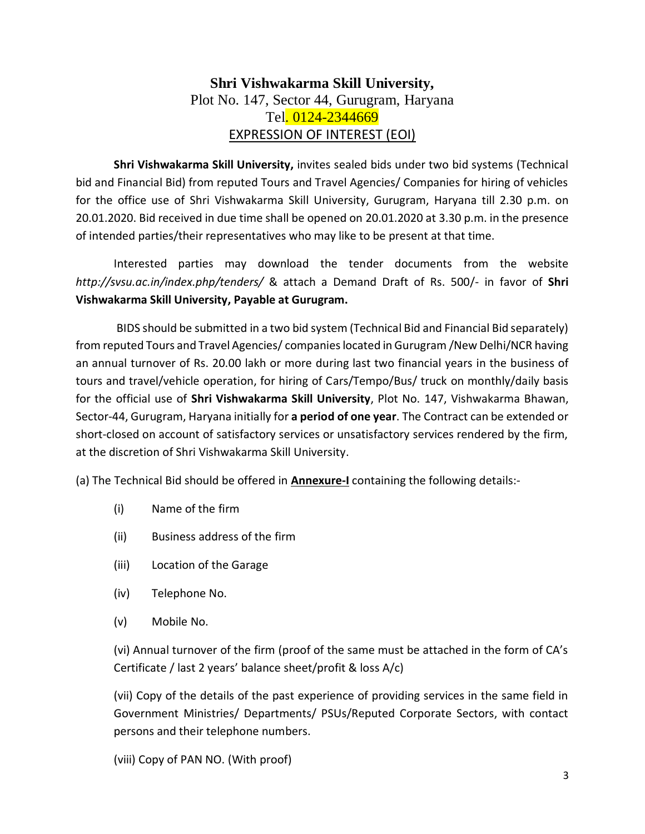### **Shri Vishwakarma Skill University,** Plot No. 147, Sector 44, Gurugram, Haryana Tel. 0124-2344669 EXPRESSION OF INTEREST (EOI)

**Shri Vishwakarma Skill University,** invites sealed bids under two bid systems (Technical bid and Financial Bid) from reputed Tours and Travel Agencies/ Companies for hiring of vehicles for the office use of Shri Vishwakarma Skill University, Gurugram, Haryana till 2.30 p.m. on 20.01.2020. Bid received in due time shall be opened on 20.01.2020 at 3.30 p.m. in the presence of intended parties/their representatives who may like to be present at that time.

Interested parties may download the tender documents from the website *http://svsu.ac.in/index.php/tenders/* & attach a Demand Draft of Rs. 500/- in favor of **Shri Vishwakarma Skill University, Payable at Gurugram.**

BIDS should be submitted in a two bid system (Technical Bid and Financial Bid separately) from reputed Tours and Travel Agencies/ companies located in Gurugram /New Delhi/NCR having an annual turnover of Rs. 20.00 lakh or more during last two financial years in the business of tours and travel/vehicle operation, for hiring of Cars/Tempo/Bus/ truck on monthly/daily basis for the official use of **Shri Vishwakarma Skill University**, Plot No. 147, Vishwakarma Bhawan, Sector-44, Gurugram, Haryana initially for **a period of one year**. The Contract can be extended or short-closed on account of satisfactory services or unsatisfactory services rendered by the firm, at the discretion of Shri Vishwakarma Skill University.

(a) The Technical Bid should be offered in **Annexure-I** containing the following details:-

- (i) Name of the firm
- (ii) Business address of the firm
- (iii) Location of the Garage
- (iv) Telephone No.
- (v) Mobile No.

(vi) Annual turnover of the firm (proof of the same must be attached in the form of CA's Certificate / last 2 years' balance sheet/profit & loss A/c)

(vii) Copy of the details of the past experience of providing services in the same field in Government Ministries/ Departments/ PSUs/Reputed Corporate Sectors, with contact persons and their telephone numbers.

(viii) Copy of PAN NO. (With proof)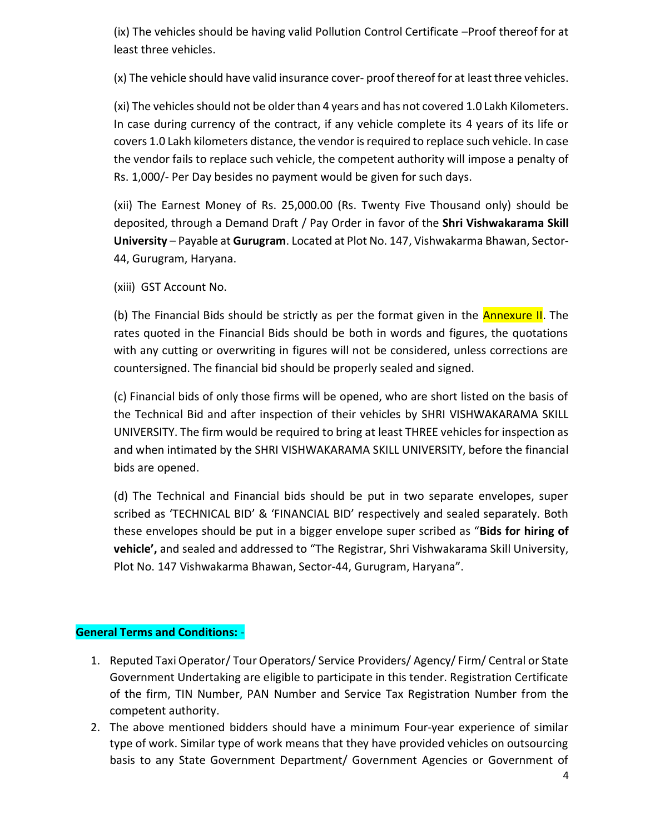(ix) The vehicles should be having valid Pollution Control Certificate –Proof thereof for at least three vehicles.

(x) The vehicle should have valid insurance cover- proof thereof for at least three vehicles.

(xi) The vehicles should not be older than 4 years and has not covered 1.0 Lakh Kilometers. In case during currency of the contract, if any vehicle complete its 4 years of its life or covers 1.0 Lakh kilometers distance, the vendor is required to replace such vehicle. In case the vendor fails to replace such vehicle, the competent authority will impose a penalty of Rs. 1,000/- Per Day besides no payment would be given for such days.

(xii) The Earnest Money of Rs. 25,000.00 (Rs. Twenty Five Thousand only) should be deposited, through a Demand Draft / Pay Order in favor of the **Shri Vishwakarama Skill University** – Payable at **Gurugram**. Located at Plot No. 147, Vishwakarma Bhawan, Sector-44, Gurugram, Haryana.

(xiii) GST Account No.

(b) The Financial Bids should be strictly as per the format given in the **Annexure II**. The rates quoted in the Financial Bids should be both in words and figures, the quotations with any cutting or overwriting in figures will not be considered, unless corrections are countersigned. The financial bid should be properly sealed and signed.

(c) Financial bids of only those firms will be opened, who are short listed on the basis of the Technical Bid and after inspection of their vehicles by SHRI VISHWAKARAMA SKILL UNIVERSITY. The firm would be required to bring at least THREE vehicles for inspection as and when intimated by the SHRI VISHWAKARAMA SKILL UNIVERSITY, before the financial bids are opened.

(d) The Technical and Financial bids should be put in two separate envelopes, super scribed as 'TECHNICAL BID' & 'FINANCIAL BID' respectively and sealed separately. Both these envelopes should be put in a bigger envelope super scribed as "**Bids for hiring of vehicle',** and sealed and addressed to "The Registrar, Shri Vishwakarama Skill University, Plot No. 147 Vishwakarma Bhawan, Sector-44, Gurugram, Haryana".

#### **General Terms and Conditions:** -

- 1. Reputed Taxi Operator/ Tour Operators/ Service Providers/ Agency/ Firm/ Central or State Government Undertaking are eligible to participate in this tender. Registration Certificate of the firm, TIN Number, PAN Number and Service Tax Registration Number from the competent authority.
- 2. The above mentioned bidders should have a minimum Four-year experience of similar type of work. Similar type of work means that they have provided vehicles on outsourcing basis to any State Government Department/ Government Agencies or Government of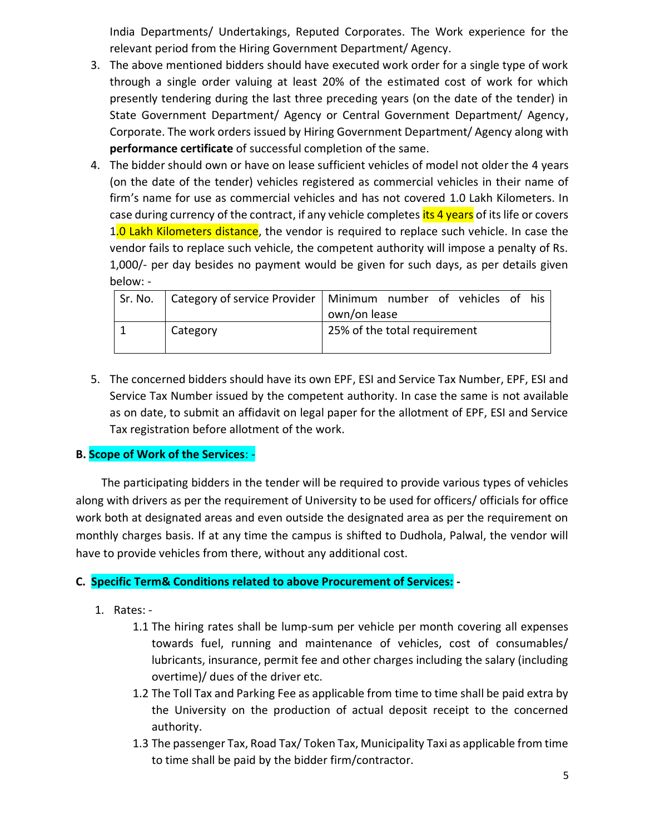India Departments/ Undertakings, Reputed Corporates. The Work experience for the relevant period from the Hiring Government Department/ Agency.

- 3. The above mentioned bidders should have executed work order for a single type of work through a single order valuing at least 20% of the estimated cost of work for which presently tendering during the last three preceding years (on the date of the tender) in State Government Department/ Agency or Central Government Department/ Agency, Corporate. The work orders issued by Hiring Government Department/ Agency along with **performance certificate** of successful completion of the same.
- 4. The bidder should own or have on lease sufficient vehicles of model not older the 4 years (on the date of the tender) vehicles registered as commercial vehicles in their name of firm's name for use as commercial vehicles and has not covered 1.0 Lakh Kilometers. In case during currency of the contract, if any vehicle completes *its 4 years* of its life or covers 1.0 Lakh Kilometers distance, the vendor is required to replace such vehicle. In case the vendor fails to replace such vehicle, the competent authority will impose a penalty of Rs. 1,000/- per day besides no payment would be given for such days, as per details given below: -

| Sr. No. |          | Category of service Provider   Minimum number of vehicles of his<br>own/on lease |  |  |  |  |  |  |
|---------|----------|----------------------------------------------------------------------------------|--|--|--|--|--|--|
|         | Category | 25% of the total requirement                                                     |  |  |  |  |  |  |

5. The concerned bidders should have its own EPF, ESI and Service Tax Number, EPF, ESI and Service Tax Number issued by the competent authority. In case the same is not available as on date, to submit an affidavit on legal paper for the allotment of EPF, ESI and Service Tax registration before allotment of the work.

#### **B. Scope of Work of the Services**: -

 The participating bidders in the tender will be required to provide various types of vehicles along with drivers as per the requirement of University to be used for officers/ officials for office work both at designated areas and even outside the designated area as per the requirement on monthly charges basis. If at any time the campus is shifted to Dudhola, Palwal, the vendor will have to provide vehicles from there, without any additional cost.

#### **C. Specific Term& Conditions related to above Procurement of Services: -**

- 1. Rates:
	- 1.1 The hiring rates shall be lump-sum per vehicle per month covering all expenses towards fuel, running and maintenance of vehicles, cost of consumables/ lubricants, insurance, permit fee and other charges including the salary (including overtime)/ dues of the driver etc.
	- 1.2 The Toll Tax and Parking Fee as applicable from time to time shall be paid extra by the University on the production of actual deposit receipt to the concerned authority.
	- 1.3 The passenger Tax, Road Tax/ Token Tax, Municipality Taxi as applicable from time to time shall be paid by the bidder firm/contractor.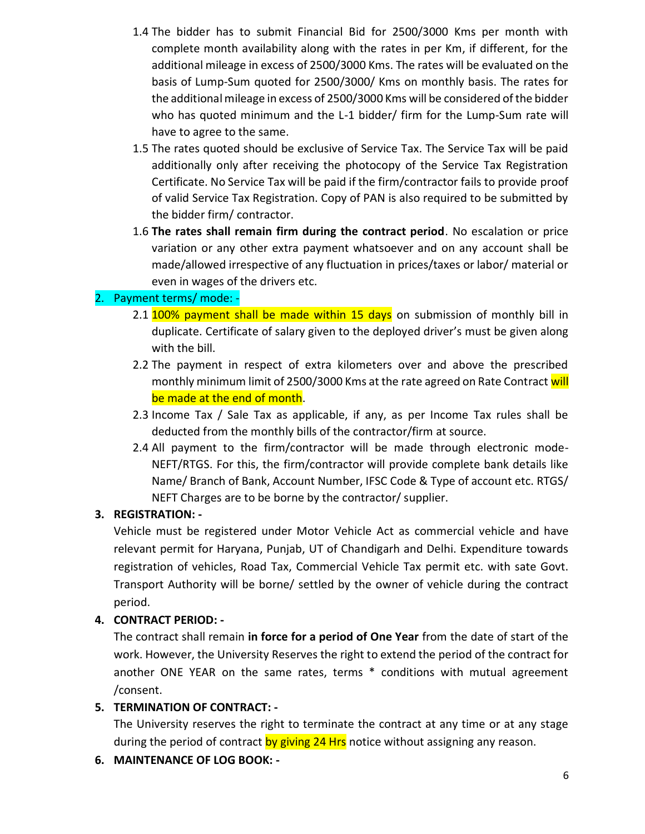- 1.4 The bidder has to submit Financial Bid for 2500/3000 Kms per month with complete month availability along with the rates in per Km, if different, for the additional mileage in excess of 2500/3000 Kms. The rates will be evaluated on the basis of Lump-Sum quoted for 2500/3000/ Kms on monthly basis. The rates for the additional mileage in excess of 2500/3000 Kms will be considered of the bidder who has quoted minimum and the L-1 bidder/ firm for the Lump-Sum rate will have to agree to the same.
- 1.5 The rates quoted should be exclusive of Service Tax. The Service Tax will be paid additionally only after receiving the photocopy of the Service Tax Registration Certificate. No Service Tax will be paid if the firm/contractor fails to provide proof of valid Service Tax Registration. Copy of PAN is also required to be submitted by the bidder firm/ contractor.
- 1.6 **The rates shall remain firm during the contract period**. No escalation or price variation or any other extra payment whatsoever and on any account shall be made/allowed irrespective of any fluctuation in prices/taxes or labor/ material or even in wages of the drivers etc.

### 2. Payment terms/ mode: -

- 2.1 100% payment shall be made within 15 days on submission of monthly bill in duplicate. Certificate of salary given to the deployed driver's must be given along with the bill.
- 2.2 The payment in respect of extra kilometers over and above the prescribed monthly minimum limit of 2500/3000 Kms at the rate agreed on Rate Contract will be made at the end of month.
- 2.3 Income Tax / Sale Tax as applicable, if any, as per Income Tax rules shall be deducted from the monthly bills of the contractor/firm at source.
- 2.4 All payment to the firm/contractor will be made through electronic mode-NEFT/RTGS. For this, the firm/contractor will provide complete bank details like Name/ Branch of Bank, Account Number, IFSC Code & Type of account etc. RTGS/ NEFT Charges are to be borne by the contractor/ supplier.

#### **3. REGISTRATION: -**

Vehicle must be registered under Motor Vehicle Act as commercial vehicle and have relevant permit for Haryana, Punjab, UT of Chandigarh and Delhi. Expenditure towards registration of vehicles, Road Tax, Commercial Vehicle Tax permit etc. with sate Govt. Transport Authority will be borne/ settled by the owner of vehicle during the contract period.

### **4. CONTRACT PERIOD: -**

The contract shall remain **in force for a period of One Year** from the date of start of the work. However, the University Reserves the right to extend the period of the contract for another ONE YEAR on the same rates, terms \* conditions with mutual agreement /consent.

### **5. TERMINATION OF CONTRACT: -**

The University reserves the right to terminate the contract at any time or at any stage during the period of contract by giving 24 Hrs notice without assigning any reason.

**6. MAINTENANCE OF LOG BOOK: -**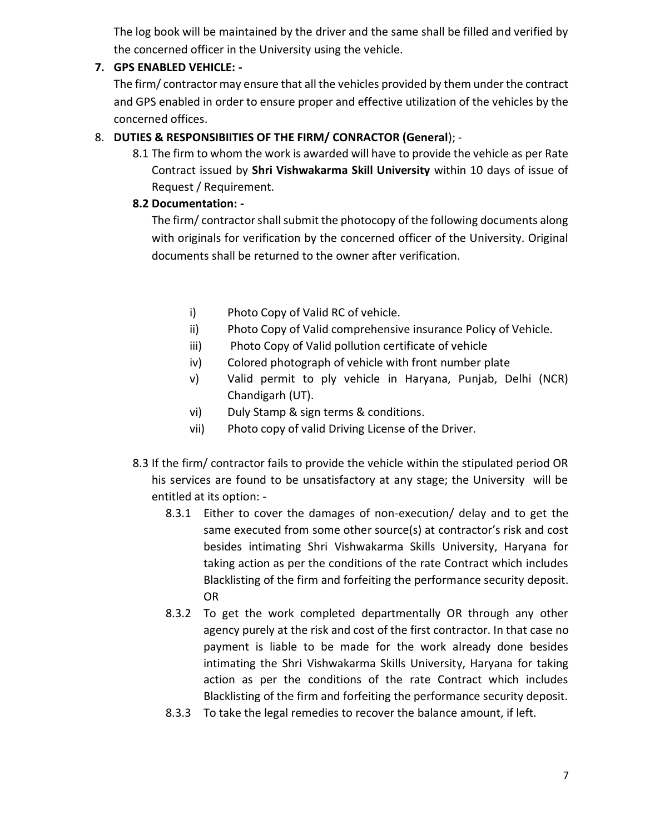The log book will be maintained by the driver and the same shall be filled and verified by the concerned officer in the University using the vehicle.

### **7. GPS ENABLED VEHICLE: -**

The firm/ contractor may ensure that all the vehicles provided by them under the contract and GPS enabled in order to ensure proper and effective utilization of the vehicles by the concerned offices.

#### 8. **DUTIES & RESPONSIBIITIES OF THE FIRM/ CONRACTOR (General**); -

8.1 The firm to whom the work is awarded will have to provide the vehicle as per Rate Contract issued by **Shri Vishwakarma Skill University** within 10 days of issue of Request / Requirement.

#### **8.2 Documentation: -**

The firm/ contractor shall submit the photocopy of the following documents along with originals for verification by the concerned officer of the University. Original documents shall be returned to the owner after verification.

- i) Photo Copy of Valid RC of vehicle.
- ii) Photo Copy of Valid comprehensive insurance Policy of Vehicle.
- iii) Photo Copy of Valid pollution certificate of vehicle
- iv) Colored photograph of vehicle with front number plate
- v) Valid permit to ply vehicle in Haryana, Punjab, Delhi (NCR) Chandigarh (UT).
- vi) Duly Stamp & sign terms & conditions.
- vii) Photo copy of valid Driving License of the Driver.
- 8.3 If the firm/ contractor fails to provide the vehicle within the stipulated period OR his services are found to be unsatisfactory at any stage; the University will be entitled at its option: -
	- 8.3.1 Either to cover the damages of non-execution/ delay and to get the same executed from some other source(s) at contractor's risk and cost besides intimating Shri Vishwakarma Skills University, Haryana for taking action as per the conditions of the rate Contract which includes Blacklisting of the firm and forfeiting the performance security deposit. OR
	- 8.3.2 To get the work completed departmentally OR through any other agency purely at the risk and cost of the first contractor. In that case no payment is liable to be made for the work already done besides intimating the Shri Vishwakarma Skills University, Haryana for taking action as per the conditions of the rate Contract which includes Blacklisting of the firm and forfeiting the performance security deposit.
	- 8.3.3 To take the legal remedies to recover the balance amount, if left.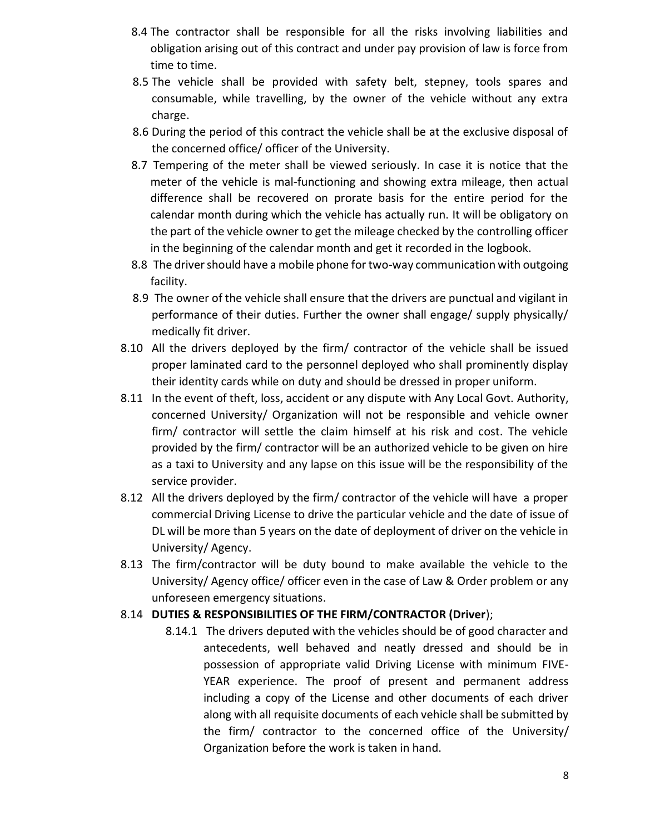- 8.4 The contractor shall be responsible for all the risks involving liabilities and obligation arising out of this contract and under pay provision of law is force from time to time.
- 8.5 The vehicle shall be provided with safety belt, stepney, tools spares and consumable, while travelling, by the owner of the vehicle without any extra charge.
- 8.6 During the period of this contract the vehicle shall be at the exclusive disposal of the concerned office/ officer of the University.
- 8.7 Tempering of the meter shall be viewed seriously. In case it is notice that the meter of the vehicle is mal-functioning and showing extra mileage, then actual difference shall be recovered on prorate basis for the entire period for the calendar month during which the vehicle has actually run. It will be obligatory on the part of the vehicle owner to get the mileage checked by the controlling officer in the beginning of the calendar month and get it recorded in the logbook.
- 8.8 The driver should have a mobile phone for two-way communication with outgoing facility.
- 8.9 The owner of the vehicle shall ensure that the drivers are punctual and vigilant in performance of their duties. Further the owner shall engage/ supply physically/ medically fit driver.
- 8.10 All the drivers deployed by the firm/ contractor of the vehicle shall be issued proper laminated card to the personnel deployed who shall prominently display their identity cards while on duty and should be dressed in proper uniform.
- 8.11 In the event of theft, loss, accident or any dispute with Any Local Govt. Authority, concerned University/ Organization will not be responsible and vehicle owner firm/ contractor will settle the claim himself at his risk and cost. The vehicle provided by the firm/ contractor will be an authorized vehicle to be given on hire as a taxi to University and any lapse on this issue will be the responsibility of the service provider.
- 8.12 All the drivers deployed by the firm/ contractor of the vehicle will have a proper commercial Driving License to drive the particular vehicle and the date of issue of DL will be more than 5 years on the date of deployment of driver on the vehicle in University/ Agency.
- 8.13 The firm/contractor will be duty bound to make available the vehicle to the University/ Agency office/ officer even in the case of Law & Order problem or any unforeseen emergency situations.

#### 8.14 **DUTIES & RESPONSIBILITIES OF THE FIRM/CONTRACTOR (Driver**);

8.14.1 The drivers deputed with the vehicles should be of good character and antecedents, well behaved and neatly dressed and should be in possession of appropriate valid Driving License with minimum FIVE-YEAR experience. The proof of present and permanent address including a copy of the License and other documents of each driver along with all requisite documents of each vehicle shall be submitted by the firm/ contractor to the concerned office of the University/ Organization before the work is taken in hand.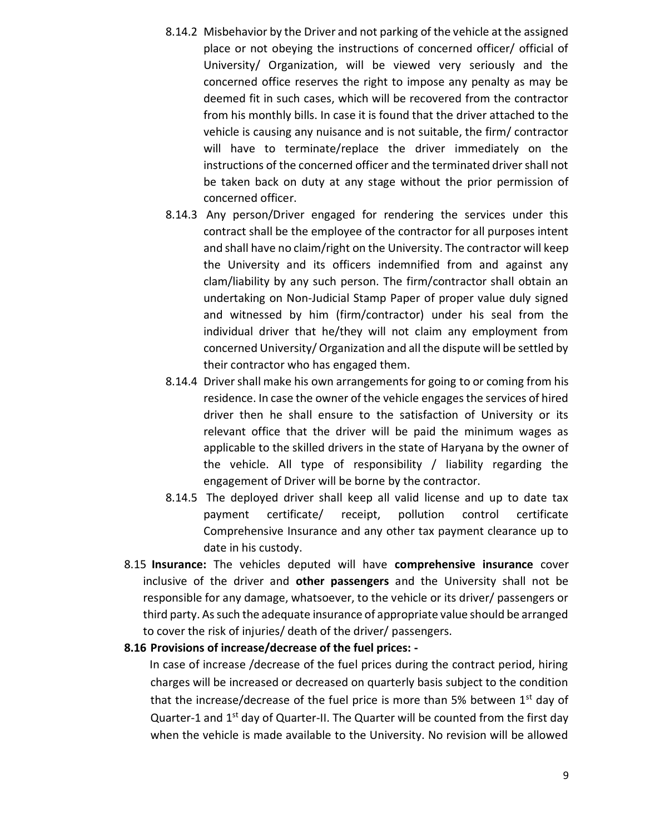- 8.14.2 Misbehavior by the Driver and not parking of the vehicle at the assigned place or not obeying the instructions of concerned officer/ official of University/ Organization, will be viewed very seriously and the concerned office reserves the right to impose any penalty as may be deemed fit in such cases, which will be recovered from the contractor from his monthly bills. In case it is found that the driver attached to the vehicle is causing any nuisance and is not suitable, the firm/ contractor will have to terminate/replace the driver immediately on the instructions of the concerned officer and the terminated driver shall not be taken back on duty at any stage without the prior permission of concerned officer.
- 8.14.3 Any person/Driver engaged for rendering the services under this contract shall be the employee of the contractor for all purposes intent and shall have no claim/right on the University. The contractor will keep the University and its officers indemnified from and against any clam/liability by any such person. The firm/contractor shall obtain an undertaking on Non-Judicial Stamp Paper of proper value duly signed and witnessed by him (firm/contractor) under his seal from the individual driver that he/they will not claim any employment from concerned University/ Organization and all the dispute will be settled by their contractor who has engaged them.
- 8.14.4 Driver shall make his own arrangements for going to or coming from his residence. In case the owner of the vehicle engages the services of hired driver then he shall ensure to the satisfaction of University or its relevant office that the driver will be paid the minimum wages as applicable to the skilled drivers in the state of Haryana by the owner of the vehicle. All type of responsibility / liability regarding the engagement of Driver will be borne by the contractor.
- 8.14.5 The deployed driver shall keep all valid license and up to date tax payment certificate/ receipt, pollution control certificate Comprehensive Insurance and any other tax payment clearance up to date in his custody.
- 8.15 **Insurance:** The vehicles deputed will have **comprehensive insurance** cover inclusive of the driver and **other passengers** and the University shall not be responsible for any damage, whatsoever, to the vehicle or its driver/ passengers or third party. As such the adequate insurance of appropriate value should be arranged to cover the risk of injuries/ death of the driver/ passengers.
- **8.16 Provisions of increase/decrease of the fuel prices: -**

 In case of increase /decrease of the fuel prices during the contract period, hiring charges will be increased or decreased on quarterly basis subject to the condition that the increase/decrease of the fuel price is more than 5% between  $1<sup>st</sup>$  day of Quarter-1 and 1<sup>st</sup> day of Quarter-II. The Quarter will be counted from the first day when the vehicle is made available to the University. No revision will be allowed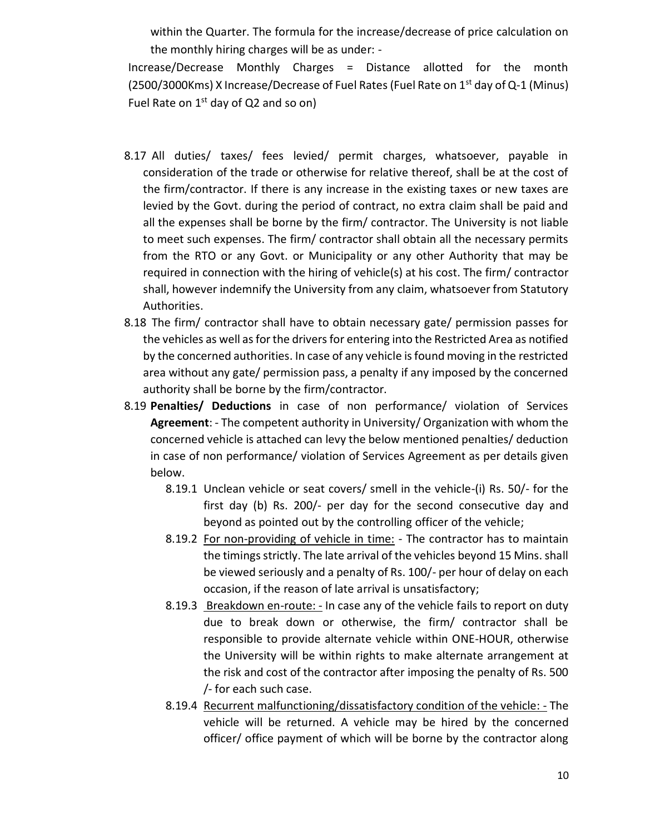within the Quarter. The formula for the increase/decrease of price calculation on the monthly hiring charges will be as under: -

Increase/Decrease Monthly Charges = Distance allotted for the month (2500/3000Kms) X Increase/Decrease of Fuel Rates (Fuel Rate on 1<sup>st</sup> day of Q-1 (Minus) Fuel Rate on  $1^{st}$  day of Q2 and so on)

- 8.17 All duties/ taxes/ fees levied/ permit charges, whatsoever, payable in consideration of the trade or otherwise for relative thereof, shall be at the cost of the firm/contractor. If there is any increase in the existing taxes or new taxes are levied by the Govt. during the period of contract, no extra claim shall be paid and all the expenses shall be borne by the firm/ contractor. The University is not liable to meet such expenses. The firm/ contractor shall obtain all the necessary permits from the RTO or any Govt. or Municipality or any other Authority that may be required in connection with the hiring of vehicle(s) at his cost. The firm/ contractor shall, however indemnify the University from any claim, whatsoever from Statutory Authorities.
- 8.18 The firm/ contractor shall have to obtain necessary gate/ permission passes for the vehicles as well as for the drivers for entering into the Restricted Area as notified by the concerned authorities. In case of any vehicle is found moving in the restricted area without any gate/ permission pass, a penalty if any imposed by the concerned authority shall be borne by the firm/contractor.
- 8.19 **Penalties/ Deductions** in case of non performance/ violation of Services **Agreement**: - The competent authority in University/ Organization with whom the concerned vehicle is attached can levy the below mentioned penalties/ deduction in case of non performance/ violation of Services Agreement as per details given below.
	- 8.19.1 Unclean vehicle or seat covers/ smell in the vehicle-(i) Rs. 50/- for the first day (b) Rs. 200/- per day for the second consecutive day and beyond as pointed out by the controlling officer of the vehicle;
	- 8.19.2 For non-providing of vehicle in time: The contractor has to maintain the timings strictly. The late arrival of the vehicles beyond 15 Mins. shall be viewed seriously and a penalty of Rs. 100/- per hour of delay on each occasion, if the reason of late arrival is unsatisfactory;
	- 8.19.3 Breakdown en-route: In case any of the vehicle fails to report on duty due to break down or otherwise, the firm/ contractor shall be responsible to provide alternate vehicle within ONE-HOUR, otherwise the University will be within rights to make alternate arrangement at the risk and cost of the contractor after imposing the penalty of Rs. 500 /- for each such case.
	- 8.19.4 Recurrent malfunctioning/dissatisfactory condition of the vehicle: The vehicle will be returned. A vehicle may be hired by the concerned officer/ office payment of which will be borne by the contractor along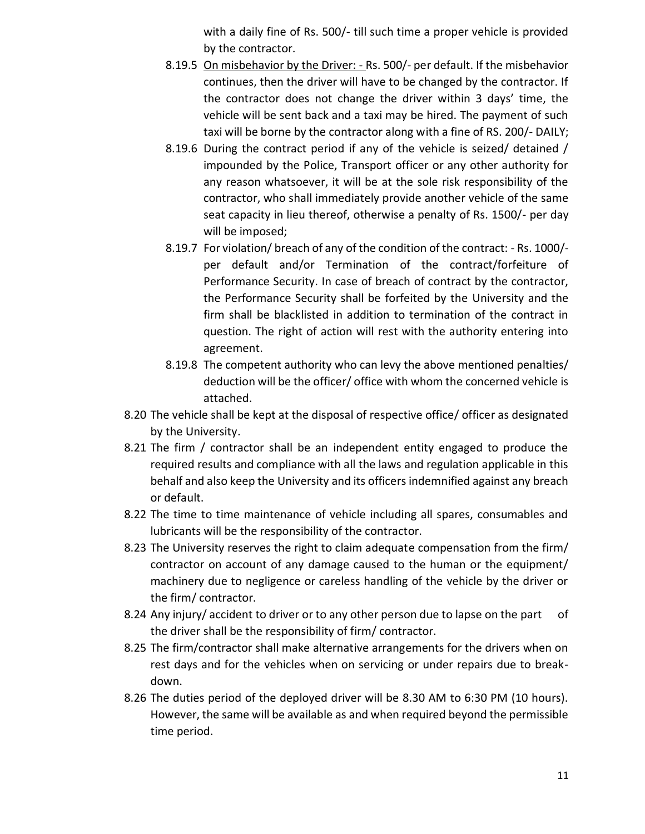with a daily fine of Rs. 500/- till such time a proper vehicle is provided by the contractor.

- 8.19.5 On misbehavior by the Driver: Rs. 500/- per default. If the misbehavior continues, then the driver will have to be changed by the contractor. If the contractor does not change the driver within 3 days' time, the vehicle will be sent back and a taxi may be hired. The payment of such taxi will be borne by the contractor along with a fine of RS. 200/- DAILY;
- 8.19.6 During the contract period if any of the vehicle is seized/ detained / impounded by the Police, Transport officer or any other authority for any reason whatsoever, it will be at the sole risk responsibility of the contractor, who shall immediately provide another vehicle of the same seat capacity in lieu thereof, otherwise a penalty of Rs. 1500/- per day will be imposed;
- 8.19.7 For violation/ breach of any of the condition of the contract: Rs. 1000/ per default and/or Termination of the contract/forfeiture of Performance Security. In case of breach of contract by the contractor, the Performance Security shall be forfeited by the University and the firm shall be blacklisted in addition to termination of the contract in question. The right of action will rest with the authority entering into agreement.
- 8.19.8 The competent authority who can levy the above mentioned penalties/ deduction will be the officer/ office with whom the concerned vehicle is attached.
- 8.20 The vehicle shall be kept at the disposal of respective office/ officer as designated by the University.
- 8.21 The firm / contractor shall be an independent entity engaged to produce the required results and compliance with all the laws and regulation applicable in this behalf and also keep the University and its officers indemnified against any breach or default.
- 8.22 The time to time maintenance of vehicle including all spares, consumables and lubricants will be the responsibility of the contractor.
- 8.23 The University reserves the right to claim adequate compensation from the firm/ contractor on account of any damage caused to the human or the equipment/ machinery due to negligence or careless handling of the vehicle by the driver or the firm/ contractor.
- 8.24 Any injury/ accident to driver or to any other person due to lapse on the part of the driver shall be the responsibility of firm/ contractor.
- 8.25 The firm/contractor shall make alternative arrangements for the drivers when on rest days and for the vehicles when on servicing or under repairs due to breakdown.
- 8.26 The duties period of the deployed driver will be 8.30 AM to 6:30 PM (10 hours). However, the same will be available as and when required beyond the permissible time period.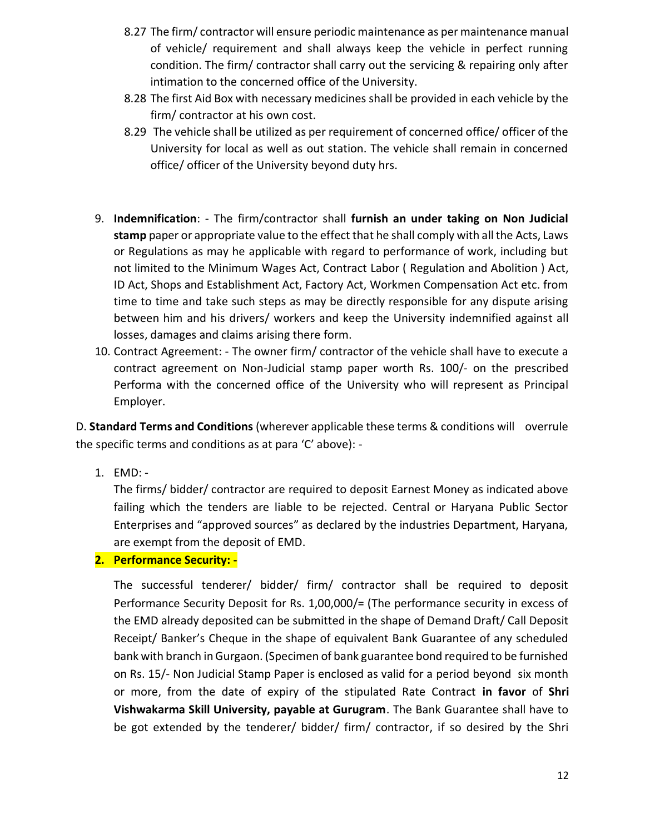- 8.27 The firm/ contractor will ensure periodic maintenance as per maintenance manual of vehicle/ requirement and shall always keep the vehicle in perfect running condition. The firm/ contractor shall carry out the servicing & repairing only after intimation to the concerned office of the University.
- 8.28 The first Aid Box with necessary medicines shall be provided in each vehicle by the firm/ contractor at his own cost.
- 8.29 The vehicle shall be utilized as per requirement of concerned office/ officer of the University for local as well as out station. The vehicle shall remain in concerned office/ officer of the University beyond duty hrs.
- 9. **Indemnification**: The firm/contractor shall **furnish an under taking on Non Judicial stamp** paper or appropriate value to the effect that he shall comply with all the Acts, Laws or Regulations as may he applicable with regard to performance of work, including but not limited to the Minimum Wages Act, Contract Labor ( Regulation and Abolition ) Act, ID Act, Shops and Establishment Act, Factory Act, Workmen Compensation Act etc. from time to time and take such steps as may be directly responsible for any dispute arising between him and his drivers/ workers and keep the University indemnified against all losses, damages and claims arising there form.
- 10. Contract Agreement: The owner firm/ contractor of the vehicle shall have to execute a contract agreement on Non-Judicial stamp paper worth Rs. 100/- on the prescribed Performa with the concerned office of the University who will represent as Principal Employer.

D. **Standard Terms and Conditions** (wherever applicable these terms & conditions will overrule the specific terms and conditions as at para 'C' above): -

1. EMD: -

The firms/ bidder/ contractor are required to deposit Earnest Money as indicated above failing which the tenders are liable to be rejected. Central or Haryana Public Sector Enterprises and "approved sources" as declared by the industries Department, Haryana, are exempt from the deposit of EMD.

#### **2. Performance Security: -**

The successful tenderer/ bidder/ firm/ contractor shall be required to deposit Performance Security Deposit for Rs. 1,00,000/= (The performance security in excess of the EMD already deposited can be submitted in the shape of Demand Draft/ Call Deposit Receipt/ Banker's Cheque in the shape of equivalent Bank Guarantee of any scheduled bank with branch in Gurgaon. (Specimen of bank guarantee bond required to be furnished on Rs. 15/- Non Judicial Stamp Paper is enclosed as valid for a period beyond six month or more, from the date of expiry of the stipulated Rate Contract **in favor** of **Shri Vishwakarma Skill University, payable at Gurugram**. The Bank Guarantee shall have to be got extended by the tenderer/ bidder/ firm/ contractor, if so desired by the Shri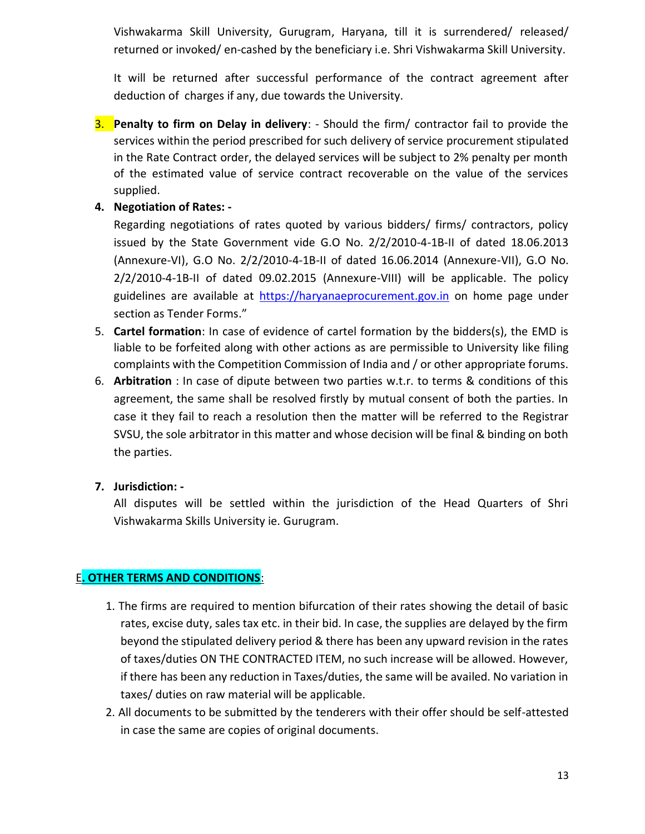Vishwakarma Skill University, Gurugram, Haryana, till it is surrendered/ released/ returned or invoked/ en-cashed by the beneficiary i.e. Shri Vishwakarma Skill University.

It will be returned after successful performance of the contract agreement after deduction of charges if any, due towards the University.

- 3. **Penalty to firm on Delay in delivery**: Should the firm/ contractor fail to provide the services within the period prescribed for such delivery of service procurement stipulated in the Rate Contract order, the delayed services will be subject to 2% penalty per month of the estimated value of service contract recoverable on the value of the services supplied.
- **4. Negotiation of Rates: -**

Regarding negotiations of rates quoted by various bidders/ firms/ contractors, policy issued by the State Government vide G.O No. 2/2/2010-4-1B-II of dated 18.06.2013 (Annexure-VI), G.O No. 2/2/2010-4-1B-II of dated 16.06.2014 (Annexure-VII), G.O No. 2/2/2010-4-1B-II of dated 09.02.2015 (Annexure-VIII) will be applicable. The policy guidelines are available at [https://haryanaeprocurement.gov.in](https://haryanaeprocurement.gov.in/) on home page under section as Tender Forms."

- 5. **Cartel formation**: In case of evidence of cartel formation by the bidders(s), the EMD is liable to be forfeited along with other actions as are permissible to University like filing complaints with the Competition Commission of India and / or other appropriate forums.
- 6. **Arbitration** : In case of dipute between two parties w.t.r. to terms & conditions of this agreement, the same shall be resolved firstly by mutual consent of both the parties. In case it they fail to reach a resolution then the matter will be referred to the Registrar SVSU, the sole arbitrator in this matter and whose decision will be final & binding on both the parties.

#### **7. Jurisdiction: -**

All disputes will be settled within the jurisdiction of the Head Quarters of Shri Vishwakarma Skills University ie. Gurugram.

#### E**. OTHER TERMS AND CONDITIONS**:

- 1. The firms are required to mention bifurcation of their rates showing the detail of basic rates, excise duty, sales tax etc. in their bid. In case, the supplies are delayed by the firm beyond the stipulated delivery period & there has been any upward revision in the rates of taxes/duties ON THE CONTRACTED ITEM, no such increase will be allowed. However, if there has been any reduction in Taxes/duties, the same will be availed. No variation in taxes/ duties on raw material will be applicable.
- 2. All documents to be submitted by the tenderers with their offer should be self-attested in case the same are copies of original documents.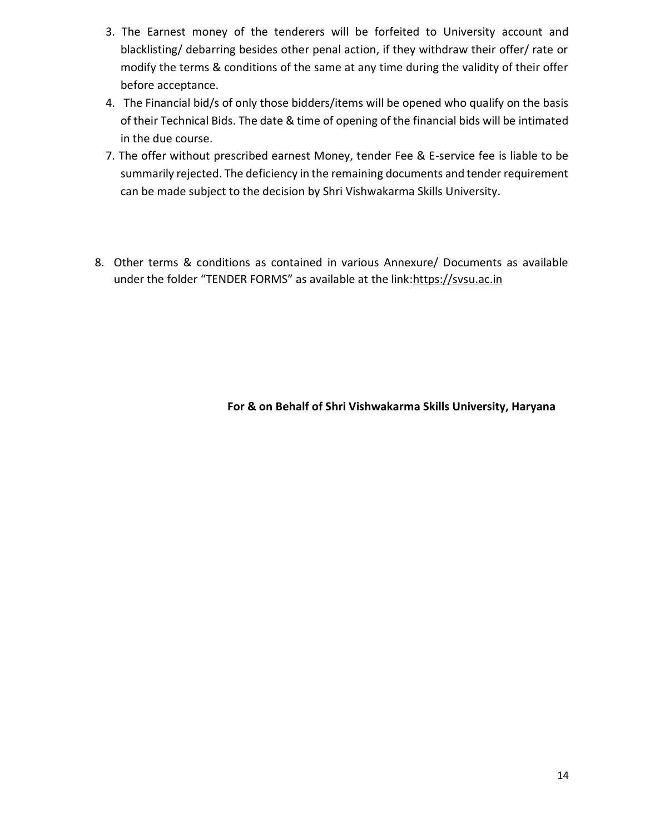- 3. The Earnest money of the tenderers will be forfeited to University account and blacklisting/ debarring besides other penal action, if they withdraw their offer/ rate or modify the terms & conditions of the same at any time during the validity of their offer before acceptance.
- 4. The Financial bid/s of only those bidders/items will be opened who qualify on the basis of their Technical Bids. The date & time of opening of the financial bids will be intimated in the due course.
- 7. The offer without prescribed earnest Money, tender Fee & E-service fee is liable to be summarily rejected. The deficiency in the remaining documents and tender requirement can be made subject to the decision by Shri Vishwakarma Skills University.
- 8. Other terms & conditions as contained in various Annexure/ Documents as available under the folder "TENDER FORMS" as available at the link:https://svsu.ac.in

**For & on Behalf of Shri Vishwakarma Skills University, Haryana**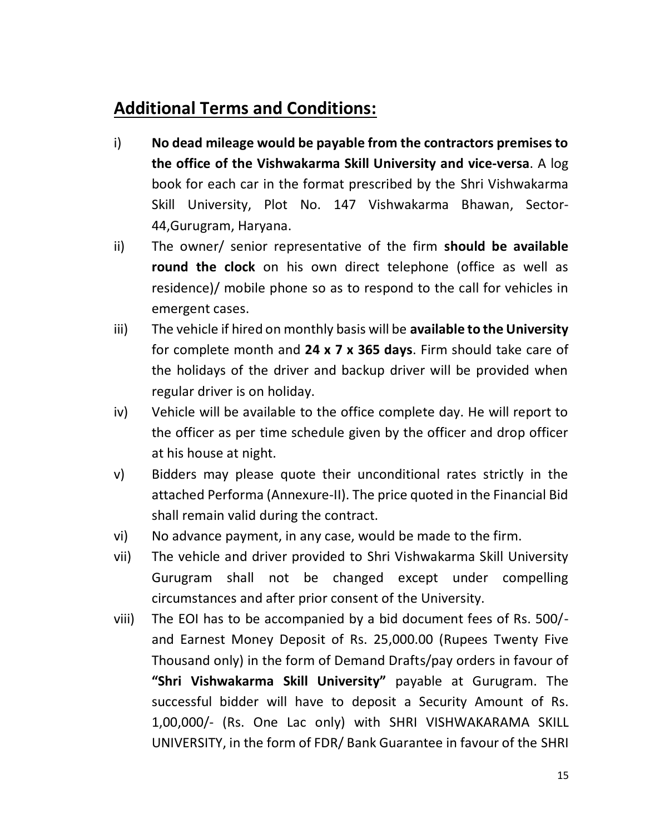# **Additional Terms and Conditions:**

- i) **No dead mileage would be payable from the contractors premises to the office of the Vishwakarma Skill University and vice-versa**. A log book for each car in the format prescribed by the Shri Vishwakarma Skill University, Plot No. 147 Vishwakarma Bhawan, Sector-44,Gurugram, Haryana.
- ii) The owner/ senior representative of the firm **should be available round the clock** on his own direct telephone (office as well as residence)/ mobile phone so as to respond to the call for vehicles in emergent cases.
- iii) The vehicle if hired on monthly basis will be **available to the University** for complete month and **24 x 7 x 365 days**. Firm should take care of the holidays of the driver and backup driver will be provided when regular driver is on holiday.
- iv) Vehicle will be available to the office complete day. He will report to the officer as per time schedule given by the officer and drop officer at his house at night.
- v) Bidders may please quote their unconditional rates strictly in the attached Performa (Annexure-II). The price quoted in the Financial Bid shall remain valid during the contract.
- vi) No advance payment, in any case, would be made to the firm.
- vii) The vehicle and driver provided to Shri Vishwakarma Skill University Gurugram shall not be changed except under compelling circumstances and after prior consent of the University.
- viii) The EOI has to be accompanied by a bid document fees of Rs. 500/ and Earnest Money Deposit of Rs. 25,000.00 (Rupees Twenty Five Thousand only) in the form of Demand Drafts/pay orders in favour of **"Shri Vishwakarma Skill University"** payable at Gurugram. The successful bidder will have to deposit a Security Amount of Rs. 1,00,000/- (Rs. One Lac only) with SHRI VISHWAKARAMA SKILL UNIVERSITY, in the form of FDR/ Bank Guarantee in favour of the SHRI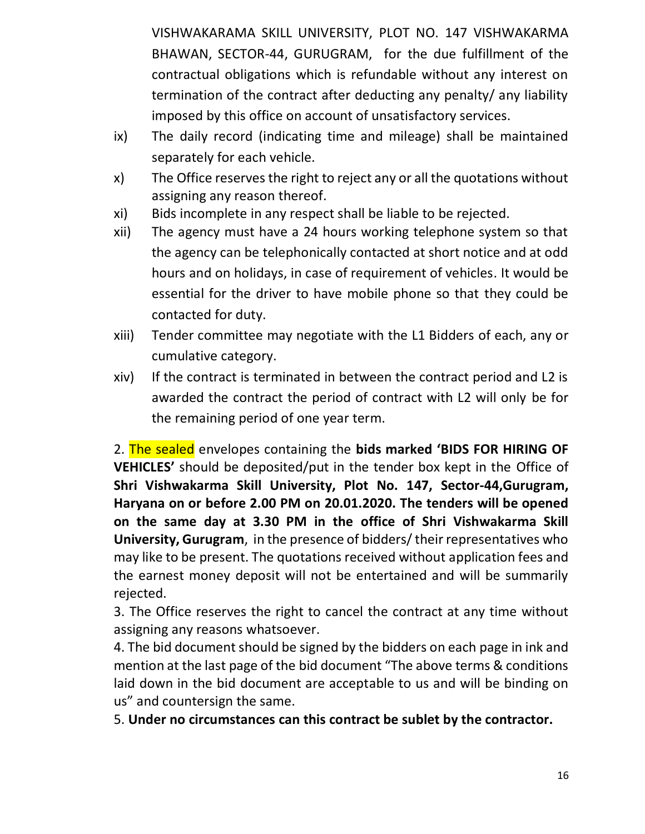VISHWAKARAMA SKILL UNIVERSITY, PLOT NO. 147 VISHWAKARMA BHAWAN, SECTOR-44, GURUGRAM, for the due fulfillment of the contractual obligations which is refundable without any interest on termination of the contract after deducting any penalty/ any liability imposed by this office on account of unsatisfactory services.

- ix) The daily record (indicating time and mileage) shall be maintained separately for each vehicle.
- x) The Office reserves the right to reject any or all the quotations without assigning any reason thereof.
- xi) Bids incomplete in any respect shall be liable to be rejected.
- xii) The agency must have a 24 hours working telephone system so that the agency can be telephonically contacted at short notice and at odd hours and on holidays, in case of requirement of vehicles. It would be essential for the driver to have mobile phone so that they could be contacted for duty.
- xiii) Tender committee may negotiate with the L1 Bidders of each, any or cumulative category.
- xiv) If the contract is terminated in between the contract period and L2 is awarded the contract the period of contract with L2 will only be for the remaining period of one year term.

2. The sealed envelopes containing the **bids marked 'BIDS FOR HIRING OF VEHICLES'** should be deposited/put in the tender box kept in the Office of **Shri Vishwakarma Skill University, Plot No. 147, Sector-44,Gurugram, Haryana on or before 2.00 PM on 20.01.2020. The tenders will be opened on the same day at 3.30 PM in the office of Shri Vishwakarma Skill University, Gurugram**, in the presence of bidders/ their representatives who may like to be present. The quotations received without application fees and the earnest money deposit will not be entertained and will be summarily rejected.

3. The Office reserves the right to cancel the contract at any time without assigning any reasons whatsoever.

4. The bid document should be signed by the bidders on each page in ink and mention at the last page of the bid document "The above terms & conditions laid down in the bid document are acceptable to us and will be binding on us" and countersign the same.

5. **Under no circumstances can this contract be sublet by the contractor.**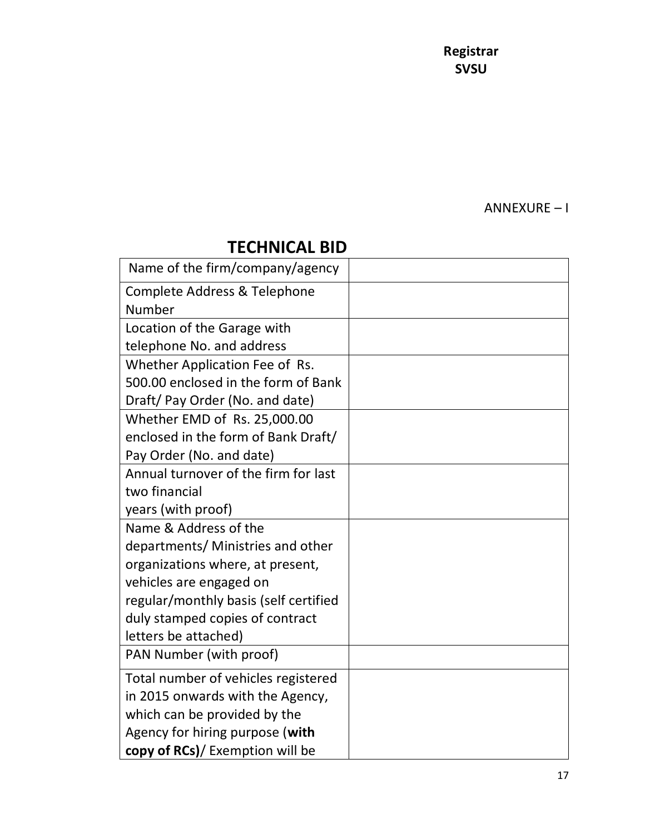**Registrar SVSU**

ANNEXURE – I

# **TECHNICAL BID**

| Name of the firm/company/agency       |  |
|---------------------------------------|--|
| Complete Address & Telephone          |  |
| Number                                |  |
| Location of the Garage with           |  |
| telephone No. and address             |  |
| Whether Application Fee of Rs.        |  |
| 500.00 enclosed in the form of Bank   |  |
| Draft/ Pay Order (No. and date)       |  |
| Whether EMD of Rs. 25,000.00          |  |
| enclosed in the form of Bank Draft/   |  |
| Pay Order (No. and date)              |  |
| Annual turnover of the firm for last  |  |
| two financial                         |  |
| years (with proof)                    |  |
| Name & Address of the                 |  |
| departments/ Ministries and other     |  |
| organizations where, at present,      |  |
| vehicles are engaged on               |  |
| regular/monthly basis (self certified |  |
| duly stamped copies of contract       |  |
| letters be attached)                  |  |
| PAN Number (with proof)               |  |
| Total number of vehicles registered   |  |
| in 2015 onwards with the Agency,      |  |
| which can be provided by the          |  |
| Agency for hiring purpose (with       |  |
| copy of RCs)/ Exemption will be       |  |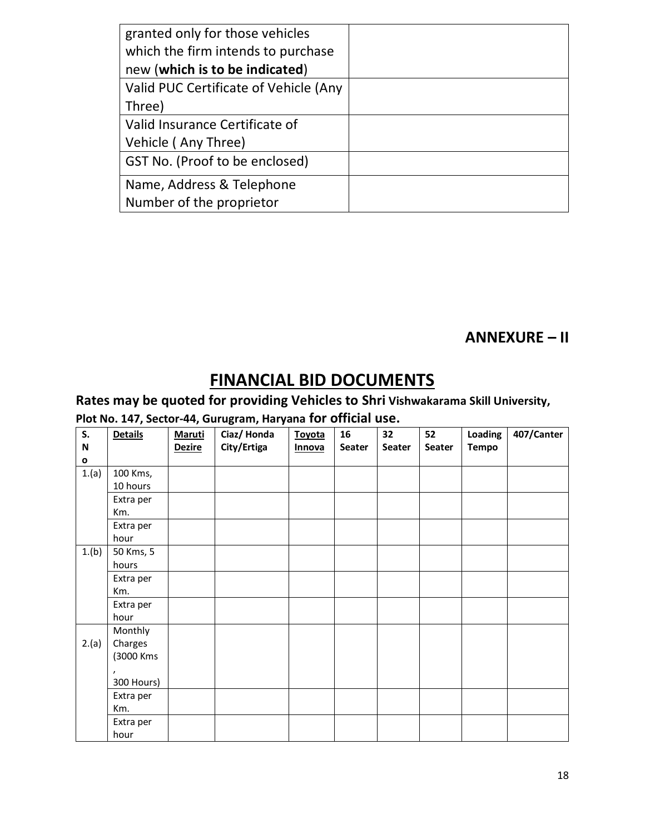| granted only for those vehicles       |  |
|---------------------------------------|--|
| which the firm intends to purchase    |  |
| new (which is to be indicated)        |  |
| Valid PUC Certificate of Vehicle (Any |  |
| Three)                                |  |
| Valid Insurance Certificate of        |  |
| Vehicle (Any Three)                   |  |
| GST No. (Proof to be enclosed)        |  |
| Name, Address & Telephone             |  |
| Number of the proprietor              |  |

### **ANNEXURE – II**

# **FINANCIAL BID DOCUMENTS**

### **Rates may be quoted for providing Vehicles to Shri Vishwakarama Skill University,**

### **Plot No. 147, Sector-44, Gurugram, Haryana for official use.**

| S.          | <b>Details</b> | <b>Maruti</b> | Ciaz/Honda  | <b>Toyota</b> | 16            | 32     | 52     | Loading      | 407/Canter |
|-------------|----------------|---------------|-------------|---------------|---------------|--------|--------|--------------|------------|
| $\mathbf N$ |                | <b>Dezire</b> | City/Ertiga | <b>Innova</b> | <b>Seater</b> | Seater | Seater | <b>Tempo</b> |            |
| o           |                |               |             |               |               |        |        |              |            |
| 1.(a)       | 100 Kms,       |               |             |               |               |        |        |              |            |
|             | 10 hours       |               |             |               |               |        |        |              |            |
|             | Extra per      |               |             |               |               |        |        |              |            |
|             | Km.            |               |             |               |               |        |        |              |            |
|             | Extra per      |               |             |               |               |        |        |              |            |
|             | hour           |               |             |               |               |        |        |              |            |
| 1.(b)       | 50 Kms, 5      |               |             |               |               |        |        |              |            |
|             | hours          |               |             |               |               |        |        |              |            |
|             | Extra per      |               |             |               |               |        |        |              |            |
|             | Km.            |               |             |               |               |        |        |              |            |
|             | Extra per      |               |             |               |               |        |        |              |            |
|             | hour           |               |             |               |               |        |        |              |            |
|             | Monthly        |               |             |               |               |        |        |              |            |
| 2.(a)       | Charges        |               |             |               |               |        |        |              |            |
|             | (3000 Kms      |               |             |               |               |        |        |              |            |
|             | $\lambda$      |               |             |               |               |        |        |              |            |
|             | 300 Hours)     |               |             |               |               |        |        |              |            |
|             | Extra per      |               |             |               |               |        |        |              |            |
|             | Km.            |               |             |               |               |        |        |              |            |
|             | Extra per      |               |             |               |               |        |        |              |            |
|             | hour           |               |             |               |               |        |        |              |            |